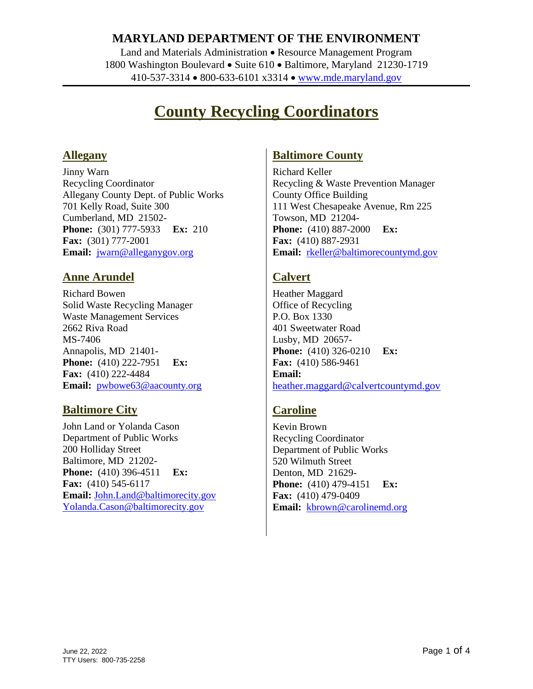### **MARYLAND DEPARTMENT OF THE ENVIRONMENT**

Land and Materials Administration • Resource Management Program 1800 Washington Boulevard • Suite 610 • Baltimore, Maryland 21230-1719 410-537-3314 800-633-6101 x3314 [www.mde.maryland.gov](http://www.mde.maryland.gov/)

# **County Recycling Coordinators**

#### **Allegany**

Jinny Warn Recycling Coordinator Allegany County Dept. of Public Works 701 Kelly Road, Suite 300 Cumberland, MD 21502- **Phone:** (301) 777-5933 **Ex:** 210 **Fax:** (301) 777-2001 **Email:** [jwarn@alleganygov.org](mailto:jwarn@alleganygov.org)

### **Anne Arundel**

Richard Bowen Solid Waste Recycling Manager Waste Management Services 2662 Riva Road MS-7406 Annapolis, MD 21401- **Phone:** (410) 222-7951 **Ex: Fax:** (410) 222-4484 **Email:** [pwbowe63@aacounty.org](mailto:pwbowe63@aacounty.org)

#### **Baltimore City**

John Land or Yolanda Cason Department of Public Works 200 Holliday Street Baltimore, MD 21202- **Phone:** (410) 396-4511 **Ex: Fax:** (410) 545-6117 **Email:** [John.Land@baltimorecity.gov](mailto:John.Land@baltimorecity.gov) [Yolanda.Cason@baltimorecity.gov](mailto:Yolanda.Cason@baltimorecity.gov)

#### **Baltimore County**

Richard Keller Recycling & Waste Prevention Manager County Office Building 111 West Chesapeake Avenue, Rm 225 Towson, MD 21204- **Phone:** (410) 887-2000 **Ex: Fax:** (410) 887-2931 **Email:** [rkeller@baltimorecountymd.gov](mailto:rkeller@baltimorecountymd.gov)

### **Calvert**

Heather Maggard Office of Recycling P.O. Box 1330 401 Sweetwater Road Lusby, MD 20657- **Phone:** (410) 326-0210 **Ex: Fax:** (410) 586-9461 **Email:** [heather.maggard@calvertcountymd.gov](mailto:heather.maggard@calvertcountymd.gov)

### **Caroline**

Kevin Brown Recycling Coordinator Department of Public Works 520 Wilmuth Street Denton, MD 21629- **Phone:** (410) 479-4151 **Ex: Fax:** (410) 479-0409 **Email:** [kbrown@carolinemd.org](mailto:kbrown@carolinemd.org)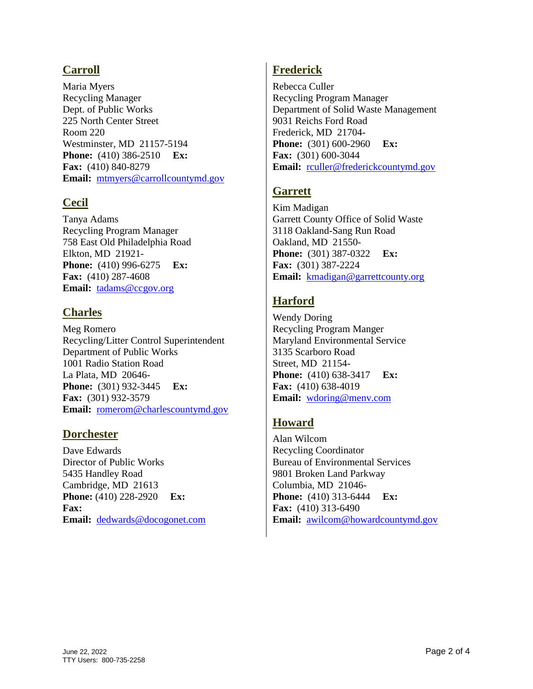### **Carroll**

Maria Myers Recycling Manager Dept. of Public Works 225 North Center Street Room 220 Westminster, MD 21157-5194 **Phone:** (410) 386-2510 **Ex: Fax:** (410) 840-8279 **Email:** [mtmyers@carrollcountymd.gov](mailto:mtmyers@carrollcountymd.gov)

### **Cecil**

Tanya Adams Recycling Program Manager 758 East Old Philadelphia Road Elkton, MD 21921- **Phone:** (410) 996-6275 **Ex: Fax:** (410) 287-4608 **Email:** [tadams@ccgov.org](mailto:tadams@ccgov.org)

### **Charles**

Meg Romero Recycling/Litter Control Superintendent Department of Public Works 1001 Radio Station Road La Plata, MD 20646- **Phone:** (301) 932-3445 **Ex: Fax:** (301) 932-3579 **Email:** [romerom@charlescountymd.gov](mailto:romerom@charlescountymd.gov)

#### **Dorchester**

Dave Edwards Director of Public Works 5435 Handley Road Cambridge, MD 21613 **Phone:** (410) 228-2920 **Ex: Fax: Email:** [dedwards@docogonet.com](mailto:dedwards@docogonet.com)

### **Frederick**

Rebecca Culler Recycling Program Manager Department of Solid Waste Management 9031 Reichs Ford Road Frederick, MD 21704- **Phone:** (301) 600-2960 **Ex: Fax:** (301) 600-3044 **Email:** [rculler@frederickcountymd.gov](mailto:rculler@frederickcountymd.gov)

### **Garrett**

Kim Madigan Garrett County Office of Solid Waste 3118 Oakland-Sang Run Road Oakland, MD 21550- **Phone:** (301) 387-0322 **Ex: Fax:** (301) 387-2224 **Email:** [kmadigan@garrettcounty.org](mailto:kmadigan@garrettcounty.org)

## **Harford**

Wendy Doring Recycling Program Manger Maryland Environmental Service 3135 Scarboro Road Street, MD 21154- **Phone:** (410) 638-3417 **Ex: Fax:** (410) 638-4019 **Email:** [wdoring@menv.com](mailto:wdoring@menv.com)

### **Howard**

Alan Wilcom Recycling Coordinator Bureau of Environmental Services 9801 Broken Land Parkway Columbia, MD 21046- **Phone:** (410) 313-6444 **Ex: Fax:** (410) 313-6490 **Email:** [awilcom@howardcountymd.gov](mailto:awilcom@howardcountymd.gov)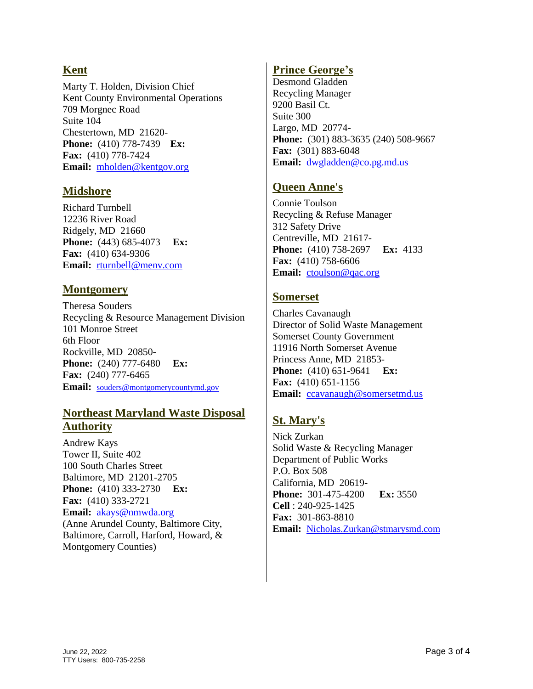### **Kent**

Marty T. Holden, Division Chief Kent County Environmental Operations 709 Morgnec Road Suite 104 Chestertown, MD 21620- **Phone:** (410) 778-7439 **Ex: Fax:** (410) 778-7424 **Email:** [mholden@kentgov.org](mailto:mholden@kentgov.org)

#### **Midshore**

Richard Turnbell 12236 River Road Ridgely, MD 21660 **Phone:** (443) 685-4073 **Ex: Fax:** (410) 634-9306 **Email:** [rturnbell@menv.com](mailto:rturnbell@menv.com)

### **Montgomery**

Theresa Souders Recycling & Resource Management Division 101 Monroe Street 6th Floor Rockville, MD 20850- **Phone:** (240) 777-6480 **Ex: Fax:** (240) 777-6465 Email: [souders@montgomerycountymd.gov](mailto:souders@montgomerycountymd.gov)

### **Northeast Maryland Waste Disposal Authority**

Andrew Kays Tower II, Suite 402 100 South Charles Street Baltimore, MD 21201-2705 **Phone:** (410) 333-2730 **Ex: Fax:** (410) 333-2721 **Email:** [akays@nmwda.org](mailto:akays@nmwda.org) (Anne Arundel County, Baltimore City, Baltimore, Carroll, Harford, Howard, & Montgomery Counties)

### **Prince George's**

Desmond Gladden Recycling Manager 9200 Basil Ct. Suite 300 Largo, MD 20774- **Phone:** (301) 883-3635 (240) 508-9667 **Fax:** (301) 883-6048 **Email:** [dwgladden@co.pg.md.us](mailto:dwgladden@co.pg.md.us)

### **Queen Anne's**

Connie Toulson Recycling & Refuse Manager 312 Safety Drive Centreville, MD 21617- **Phone:** (410) 758-2697 **Ex:** 4133 **Fax:** (410) 758-6606 **Email:** [ctoulson@qac.org](mailto:ctoulson@qac.org)

### **Somerset**

Charles Cavanaugh Director of Solid Waste Management Somerset County Government 11916 North Somerset Avenue Princess Anne, MD 21853- **Phone:** (410) 651-9641 **Ex: Fax:** (410) 651-1156 **Email:** [ccavanaugh@somersetmd.us](mailto:ccavanaugh@somersetmd.us)

# **St. Mary's**

Nick Zurkan Solid Waste & Recycling Manager Department of Public Works P.O. Box 508 California, MD 20619- **Phone:** 301-475-4200 **Ex:** 3550 **Cell** : 240-925-1425 **Fax:** 301-863-8810 **Email:** [Nicholas.Zurkan@stmarysmd.com](mailto:Nicholas.Zurkan@stmarysmd.com)